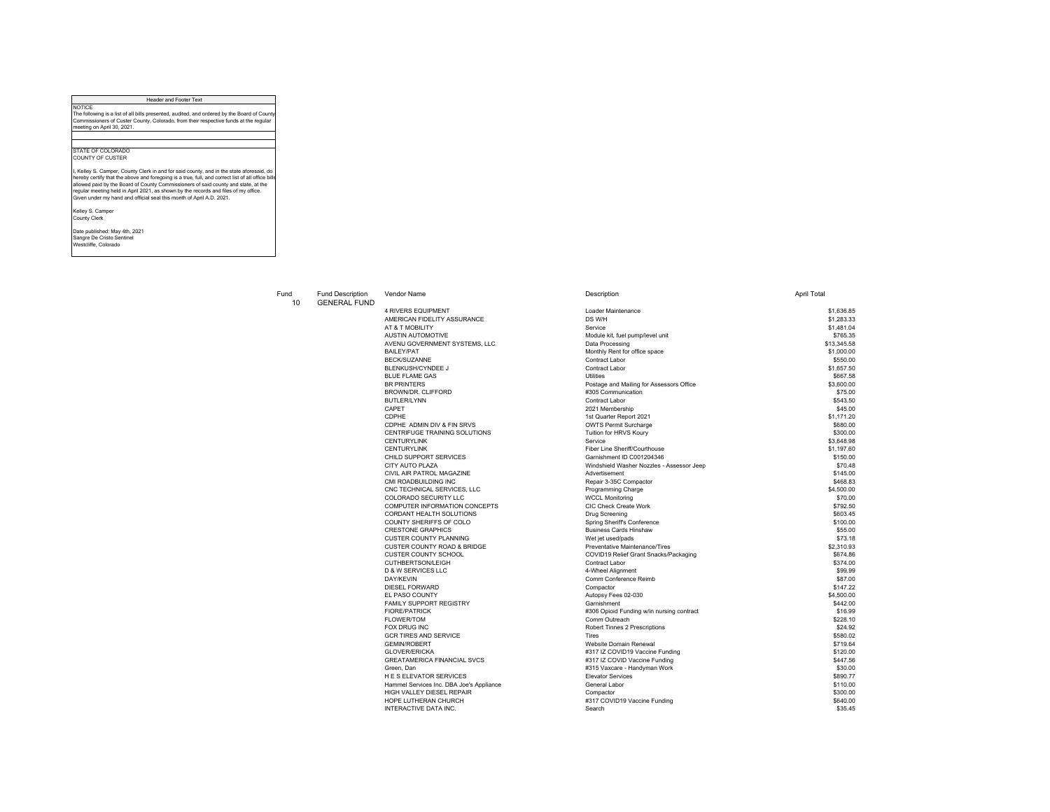## Header and Footer Text

NOTICE The following is a list of all bills presented, audited, and ordered by the Board of County Commissioners of Custer County, Colorado, from their respective funds at the regular meeting on April 30, 2021.

STATE OF COLORADO COUNTY OF CUSTER

l, Kelley S. Camper, County Clerk in and for said county, and in the state aforesaid, do<br>hereby certify that the above and foregoing is a true, full, and correct list of all office bills<br>allowed paid by the Board of County

Kelley S. Camper County Clerk

Date published: May 4th, 2021 Sangre De Cristo Sentinel Westcliffe, Colorado

## 10 GENERAL FUND

| <b>4 RIVERS EQUIPMENT</b>                | Loader Maintenance                        | \$1,636.85  |
|------------------------------------------|-------------------------------------------|-------------|
| AMERICAN FIDELITY ASSURANCE              | DS W/H                                    | \$1,283,33  |
| AT & T MOBILITY                          | Service                                   | \$1,481.04  |
| <b>AUSTIN AUTOMOTIVE</b>                 | Module kit, fuel pump/level unit          | \$765.35    |
| AVENU GOVERNMENT SYSTEMS, LLC            | Data Processing                           | \$13,345.58 |
| <b>BAILEY/PAT</b>                        | Monthly Rent for office space             | \$1,000.00  |
| <b>BECK/SUZANNE</b>                      | Contract Labor                            | \$550.00    |
| <b>BLENKUSH/CYNDEE J</b>                 | Contract Labor                            | \$1,657.50  |
| <b>BLUE FLAME GAS</b>                    | <b>Utilities</b>                          | \$667.58    |
| <b>BR PRINTERS</b>                       | Postage and Mailing for Assessors Office  | \$3,600.00  |
| BROWN/DR. CLIFFORD                       | #305 Communication                        | \$75.00     |
| BUTLER/LYNN                              | Contract Labor                            | \$543.50    |
| CAPET                                    | 2021 Membership                           | \$45.00     |
| CDPHF                                    | 1st Quarter Report 2021                   | \$1.171.20  |
| CDPHE ADMIN DIV & FIN SRVS               | <b>OWTS Permit Surcharge</b>              | \$680.00    |
| CENTRIFUGE TRAINING SOLUTIONS            | Tuition for HRVS Koury                    | \$300.00    |
| <b>CENTURYLINK</b>                       | Service                                   | \$3,648.98  |
| <b>CENTURYLINK</b>                       | Fiber Line Sheriff/Courthouse             | \$1,197.60  |
| CHILD SUPPORT SERVICES                   | Garnishment ID C001204346                 | \$150.00    |
| CITY AUTO PLAZA                          | Windshield Washer Nozzles - Assessor Jeep | \$70.48     |
| CIVIL AIR PATROL MAGAZINE                | Advertisement                             | \$145.00    |
| CMI ROADBUILDING INC                     | Repair 3-35C Compactor                    | \$468.83    |
| CNC TECHNICAL SERVICES, LLC              | Programming Charge                        | \$4,500.00  |
| COLORADO SECURITY LLC                    | <b>WCCL Monitoring</b>                    | \$70.00     |
| COMPUTER INFORMATION CONCEPTS            | CIC Check Create Work                     | \$792.50    |
| CORDANT HEALTH SOLUTIONS                 | <b>Drug Screening</b>                     | \$603.45    |
| COUNTY SHERIFFS OF COLO                  | Spring Sheriff's Conference               | \$100.00    |
| <b>CRESTONE GRAPHICS</b>                 | <b>Business Cards Hinshaw</b>             | \$55.00     |
| <b>CUSTER COUNTY PLANNING</b>            | Wet jet used/pads                         | \$73.18     |
| <b>CUSTER COUNTY ROAD &amp; BRIDGE</b>   | Preventative Maintenance/Tires            | \$2,310.93  |
| <b>CUSTER COUNTY SCHOOL</b>              | COVID19 Relief Grant Snacks/Packaging     | \$674.86    |
| CUTHBERTSON/LEIGH                        | Contract Labor                            | \$374.00    |
| <b>D &amp; W SERVICES LLC</b>            | 4-Wheel Alianment                         | \$99.99     |
| DAY/KEVIN                                | Comm Conference Reimb                     | \$87.00     |
| <b>DIESEL FORWARD</b>                    | Compactor                                 | \$147.22    |
| EL PASO COUNTY                           | Autopsy Fees 02-030                       | \$4,500.00  |
| <b>FAMILY SUPPORT REGISTRY</b>           | Garnishment                               | \$442.00    |
| <b>FIORF/PATRICK</b>                     | #306 Opioid Funding w/in nursing contract | \$16.99     |
| <b>FLOWER/TOM</b>                        | Comm Outreach                             | \$228.10    |
| FOX DRUG INC                             | Robert Tinnes 2 Prescriptions             | \$24.92     |
| <b>GCR TIRES AND SERVICE</b>             | <b>Tires</b>                              | \$580.02    |
| <b>GEMIN/ROBERT</b>                      | Website Domain Renewal                    | \$719.64    |
| <b>GLOVER/ERICKA</b>                     | #317 IZ COVID19 Vaccine Funding           | \$120.00    |
| <b>GREATAMERICA FINANCIAL SVCS</b>       | #317 IZ COVID Vaccine Funding             | \$447.56    |
| Green, Dan                               | #315 Vaxcare - Handyman Work              | \$30.00     |
| <b>HE S ELEVATOR SERVICES</b>            | <b>Elevator Services</b>                  | \$890.77    |
| Hammel Services Inc. DBA Joe's Appliance | General Labor                             | \$110.00    |
| HIGH VALLEY DIESEL REPAIR                | Compactor                                 | \$300.00    |
| HOPE LUTHERAN CHURCH                     | #317 COVID19 Vaccine Funding              | \$640.00    |
| INTERACTIVE DATA INC.                    | Search                                    | \$35.45     |
|                                          |                                           |             |

| Fund<br>10 <sup>1</sup> | <b>Fund Description</b><br><b>GENERAL FUND</b> | Vendor Name                              | Description                               | <b>April Total</b> |
|-------------------------|------------------------------------------------|------------------------------------------|-------------------------------------------|--------------------|
|                         |                                                | <b>4 RIVERS EQUIPMENT</b>                | Loader Maintenance                        | \$1,636.85         |
|                         |                                                | AMERICAN FIDELITY ASSURANCE              | DS W/H                                    | \$1,283,33         |
|                         |                                                | AT & T MOBILITY                          | Service                                   | \$1,481.04         |
|                         |                                                | <b>AUSTIN AUTOMOTIVE</b>                 | Module kit, fuel pump/level unit          | \$765.35           |
|                         |                                                | AVENU GOVERNMENT SYSTEMS, LLC            | Data Processing                           | \$13,345.58        |
|                         |                                                | <b>BAILEY/PAT</b>                        | Monthly Rent for office space             | \$1,000.00         |
|                         |                                                | <b>BECK/SUZANNE</b>                      | Contract Labor                            | \$550.00           |
|                         |                                                | <b>BLENKUSH/CYNDEE J</b>                 | Contract Labor                            | \$1,657.50         |
|                         |                                                | <b>BLUE FLAME GAS</b>                    | <b>Utilities</b>                          | \$667.58           |
|                         |                                                | <b>BR PRINTERS</b>                       | Postage and Mailing for Assessors Office  | \$3,600.00         |
|                         |                                                | BROWN/DR. CLIFFORD                       | #305 Communication                        | \$75.00            |
|                         |                                                | <b>BUTLER/LYNN</b>                       | Contract Labor                            | \$543.50           |
|                         |                                                | CAPET                                    | 2021 Membership                           | \$45.00            |
|                         |                                                | CDPHF                                    | 1st Quarter Report 2021                   | \$1,171.20         |
|                         |                                                | CDPHE ADMIN DIV & FIN SRVS               | <b>OWTS Permit Surcharge</b>              | \$680.00           |
|                         |                                                | CENTRIFUGE TRAINING SOLUTIONS            | Tuition for HRVS Koury                    | \$300.00           |
|                         |                                                | <b>CENTURYLINK</b>                       | Service                                   | \$3,648.98         |
|                         |                                                | <b>CENTURYLINK</b>                       | Fiber Line Sheriff/Courthouse             | \$1,197.60         |
|                         |                                                | CHILD SUPPORT SERVICES                   | Garnishment ID C001204346                 | \$150.00           |
|                         |                                                | CITY AUTO PLAZA                          | Windshield Washer Nozzles - Assessor Jeep | \$70.48            |
|                         |                                                | CIVIL AIR PATROL MAGAZINE                | Advertisement                             | \$145.00           |
|                         |                                                | CMI ROADBUILDING INC                     | Repair 3-35C Compactor                    | \$468.83           |
|                         |                                                | CNC TECHNICAL SERVICES. LLC              | Programming Charge                        | \$4,500.00         |
|                         |                                                | COLORADO SECURITY LLC                    | <b>WCCL Monitoring</b>                    | \$70.00            |
|                         |                                                | COMPUTER INFORMATION CONCEPTS            | CIC Check Create Work                     | \$792.50           |
|                         |                                                | CORDANT HEALTH SOLUTIONS                 | <b>Drug Screening</b>                     | \$603.45           |
|                         |                                                | COUNTY SHERIFFS OF COLO                  | Spring Sheriff's Conference               | \$100.00           |
|                         |                                                | <b>CRESTONE GRAPHICS</b>                 | <b>Business Cards Hinshaw</b>             | \$55.00            |
|                         |                                                | <b>CUSTER COUNTY PLANNING</b>            | Wet jet used/pads                         | \$73.18            |
|                         |                                                | CUSTER COUNTY ROAD & BRIDGE              | Preventative Maintenance/Tires            | \$2,310.93         |
|                         |                                                | <b>CUSTER COUNTY SCHOOL</b>              | COVID19 Relief Grant Snacks/Packaging     | \$674.86           |
|                         |                                                | CUTHBERTSON/LEIGH                        | Contract Labor                            | \$374.00           |
|                         |                                                | <b>D &amp; W SERVICES LLC</b>            | 4-Wheel Alignment                         | \$99.99            |
|                         |                                                | <b>DAY/KEVIN</b>                         | Comm Conference Reimb                     | \$87.00            |
|                         |                                                | DIESEL FORWARD                           | Compactor                                 | \$147.22           |
|                         |                                                | EL PASO COUNTY                           | Autopsy Fees 02-030                       | \$4,500.00         |
|                         |                                                | FAMILY SUPPORT REGISTRY                  | Garnishment                               | \$442.00           |
|                         |                                                | <b>FIORE/PATRICK</b>                     | #306 Opioid Funding w/in nursing contract | \$16.99            |
|                         |                                                | <b>FLOWER/TOM</b>                        | Comm Outreach                             | \$228.10           |
|                         |                                                | FOX DRUG INC                             | Robert Tinnes 2 Prescriptions             | \$24.92            |
|                         |                                                | <b>GCR TIRES AND SERVICE</b>             | Tires                                     | \$580.02           |
|                         |                                                | <b>GEMIN/ROBERT</b>                      | Website Domain Renewal                    | \$719.64           |
|                         |                                                | <b>GLOVER/ERICKA</b>                     | #317 IZ COVID19 Vaccine Funding           | \$120.00           |
|                         |                                                | <b>GREATAMERICA FINANCIAL SVCS</b>       | #317 IZ COVID Vaccine Funding             | \$447.56           |
|                         |                                                | Green. Dan                               | #315 Vaxcare - Handyman Work              | \$30.00            |
|                         |                                                | <b>HE S ELEVATOR SERVICES</b>            | <b>Elevator Services</b>                  | \$890.77           |
|                         |                                                | Hammel Services Inc. DBA Joe's Appliance | General Labor                             | \$110.00           |
|                         |                                                | HIGH VALLEY DIESEL REPAIR                | Compactor                                 | \$300.00           |
|                         |                                                | HOPE I UTHERAN CHURCH                    | #317 COVID19 Vaccine Funding              | \$640.00           |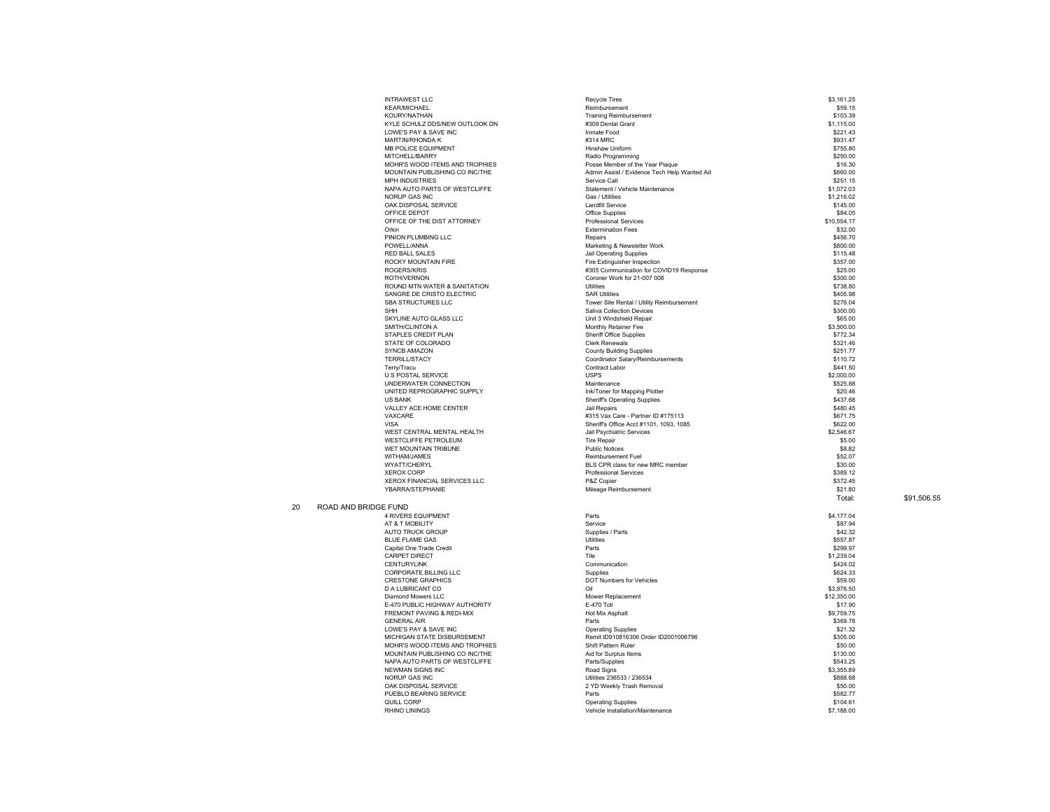|    | <b>INTRAWEST LLC</b>                                             | <b>Recycle Tires</b>                                                           | \$3,161.25             |
|----|------------------------------------------------------------------|--------------------------------------------------------------------------------|------------------------|
|    | <b>KEAR/MICHAEL</b>                                              | Reimbursement                                                                  | \$59.15                |
|    | KOURY/NATHAN                                                     | <b>Training Reimbursement</b>                                                  | \$103.39               |
|    | KYLE SCHULZ DDS/NEW OUTLOOK DN                                   | #309 Dental Grant                                                              | \$1,115.00             |
|    | LOWE'S PAY & SAVE INC                                            | Inmate Food                                                                    | \$221.43               |
|    | <b>MARTIN/RHONDA K</b>                                           | #314 MRC                                                                       | \$931.47               |
|    | MB POLICE EQUIPMENT                                              | Hinshaw Uniform                                                                | \$755.80               |
|    | MITCHELL/BARRY                                                   | Radio Programming                                                              | \$250.00<br>\$16.30    |
|    | MOHR'S WOOD ITEMS AND TROPHIES<br>MOUNTAIN PUBLISHING CO INC/THE | Posse Member of the Year Plaque<br>Admin Assist / Evidence Tech Help Wanted Ad | \$660.00               |
|    | MPH INDUSTRIES                                                   | Service Call                                                                   | \$251.15               |
|    | NAPA AUTO PARTS OF WESTCLIFFE                                    | Statement / Vehicle Maintenance                                                | \$1,072.03             |
|    | NORUP GAS INC                                                    | Gas / Hilities                                                                 | \$1,216.02             |
|    | OAK DISPOSAL SERVICE                                             | <b>Landfill Service</b>                                                        | \$145.00               |
|    | OFFICE DEPOT                                                     | Office Supplies                                                                | \$84.05                |
|    | OFFICE OF THE DIST ATTORNEY                                      | <b>Professional Services</b>                                                   | \$10,554.17            |
|    | Orkin                                                            | <b>Extermination Fees</b>                                                      | \$32.00                |
|    | PINION PLUMBING LLC                                              | Repairs                                                                        | \$456.70               |
|    | POWELL/ANNA                                                      | Marketing & Newsletter Work                                                    | \$800.00               |
|    | <b>RED BALL SALES</b>                                            | <b>Jail Operating Supplies</b>                                                 | \$115.48               |
|    | ROCKY MOUNTAIN FIRE<br>ROGERS/KRIS                               | Fire Extinguisher Inspection<br>#305 Communication for COVID19 Response        | \$357.00<br>\$25.00    |
|    | ROTH/VERNON                                                      | Coroner Work for 21-007 008                                                    | \$300.00               |
|    | ROUND MTN WATER & SANITATION                                     | Utilities                                                                      | \$738.80               |
|    | SANGRE DE CRISTO ELECTRIC                                        | <b>SAR Utilities</b>                                                           | \$405.98               |
|    | SBA STRUCTURES LLC                                               | Tower Site Rental / Utility Reimbursement                                      | \$276.04               |
|    | <b>SHH</b>                                                       | Saliva Collection Devices                                                      | \$300.00               |
|    | SKYLINE AUTO GLASS LLC                                           | Unit 3 Windshield Repair                                                       | \$65.00                |
|    | SMITH/CLINTON A                                                  | Monthly Retainer Fee                                                           | \$3,500.00             |
|    | STAPLES CREDIT PLAN                                              | Sheriff Office Supplies                                                        | \$772.34               |
|    | STATE OF COLORADO                                                | <b>Clerk Renewals</b>                                                          | \$321.46               |
|    | <b>SYNCB AMAZON</b>                                              | <b>County Building Supplies</b>                                                | \$251.77               |
|    | <b>TERRILL/STACY</b>                                             | Coordinator Salary/Reimbursements                                              | \$110.72               |
|    | Terry/Tracu                                                      | Contract Labor<br><b>USPS</b>                                                  | \$441.50               |
|    | <b>U S POSTAL SERVICE</b><br>UNDERWATER CONNECTION               | Maintenance                                                                    | \$2,000.00<br>\$525.88 |
|    | UNITED REPROGRAPHIC SUPPLY                                       | Ink/Toner for Mapping Plotter                                                  | \$20.46                |
|    | <b>US BANK</b>                                                   | <b>Sheriff's Operating Supplies</b>                                            | \$437.68               |
|    | VALLEY ACE HOME CENTER                                           | Jail Repairs                                                                   | \$480.45               |
|    | VAXCARE                                                          | #315 Vax Care - Partner ID #175113                                             | \$671.75               |
|    | VISA                                                             | Sheriff's Office Acct #1101, 1093, 1085                                        | \$622.00               |
|    | WEST CENTRAL MENTAL HEALTH                                       | Jail Psychiatric Services                                                      | \$2,546.67             |
|    | WESTCLIFFE PETROLEUM                                             | <b>Tire Repair</b>                                                             | \$5.00                 |
|    | WET MOUNTAIN TRIBUNE                                             | <b>Public Notices</b>                                                          | \$8.82                 |
|    | WITHAM/JAMES                                                     | Reimbursement Fuel                                                             | \$52.07                |
|    | WYATT/CHERYL                                                     | BLS CPR class for new MRC member                                               | \$30.00                |
|    | <b>XEROX CORP</b>                                                | Professional Services                                                          | \$389.12               |
|    | XEROX FINANCIAL SERVICES LLC<br>YBARRA/STEPHANIE                 | P&Z Copier                                                                     | \$372.45               |
|    |                                                                  | Mileage Reimbursement                                                          | \$21.80                |
|    |                                                                  |                                                                                | Total:                 |
| 20 | ROAD AND BRIDGE FUND<br><b>4 RIVERS EQUIPMENT</b>                | Parts                                                                          |                        |
|    | AT & T MOBILITY                                                  | Service                                                                        | \$4,177.04<br>\$87.94  |
|    | <b>AUTO TRUCK GROUP</b>                                          | Supplies / Parts                                                               | \$42.32                |
|    | <b>BLUE FLAME GAS</b>                                            | Utilities                                                                      | \$557.87               |
|    | Capital One Trade Credit                                         | Parts                                                                          | \$299.97               |
|    | CARPET DIRECT                                                    | Tile                                                                           | \$1,239.04             |
|    | <b>CENTURYLINK</b>                                               | Communication                                                                  | \$424.02               |
|    | CORPORATE BILLING LLC                                            | Supplies                                                                       | \$624.33               |
|    | <b>CRESTONE GRAPHICS</b>                                         | DOT Numbers for Vehicles                                                       | \$59.00                |
|    | D A LUBRICANT CO                                                 | Oil                                                                            | \$3,976.50             |
|    | Diamond Mowers II C                                              | Mower Replacement                                                              | \$12,350.00            |
|    | E-470 PUBLIC HIGHWAY AUTHORITY                                   | E-470 Toll                                                                     | \$17.90                |
|    | <b>FREMONT PAVING &amp; REDI-MIX</b>                             | Hot Mix Asphalt<br>Parts                                                       | \$9,759.75             |
|    | <b>GENERAL AIR</b><br>LOWE'S PAY & SAVE INC                      | <b>Operating Supplies</b>                                                      | \$369.78<br>\$21.32    |
|    | MICHIGAN STATE DISBURSEMENT                                      | Remit ID910816306 Order ID2001006796                                           | \$305.00               |
|    | MOHR'S WOOD ITEMS AND TROPHIES                                   | Shift Pattern Ruler                                                            | \$50.00                |
|    | MOUNTAIN PUBLISHING CO INC/THE                                   | Aid for Surplus Items                                                          | \$130.00               |
|    | NAPA AUTO PARTS OF WESTCLIFFE                                    | Parts/Supplies                                                                 | \$543.25               |
|    | <b>NEWMAN SIGNS INC</b>                                          | Road Signs                                                                     | \$3,355.89             |
|    | <b>NORUP GAS INC</b>                                             | Utilities 236533 / 236534                                                      | \$888.68               |
|    | OAK DISPOSAL SERVICE                                             | 2 YD Weekly Trash Removal                                                      | \$50.00                |
|    | PUEBLO BEARING SERVICE                                           | Parts                                                                          | \$582.77               |
|    | QUILL CORP                                                       | <b>Operating Supplies</b>                                                      | \$104.61               |
|    | <b>RHINO LININGS</b>                                             | Vehicle Installation/Maintenance                                               | \$7,188.00             |